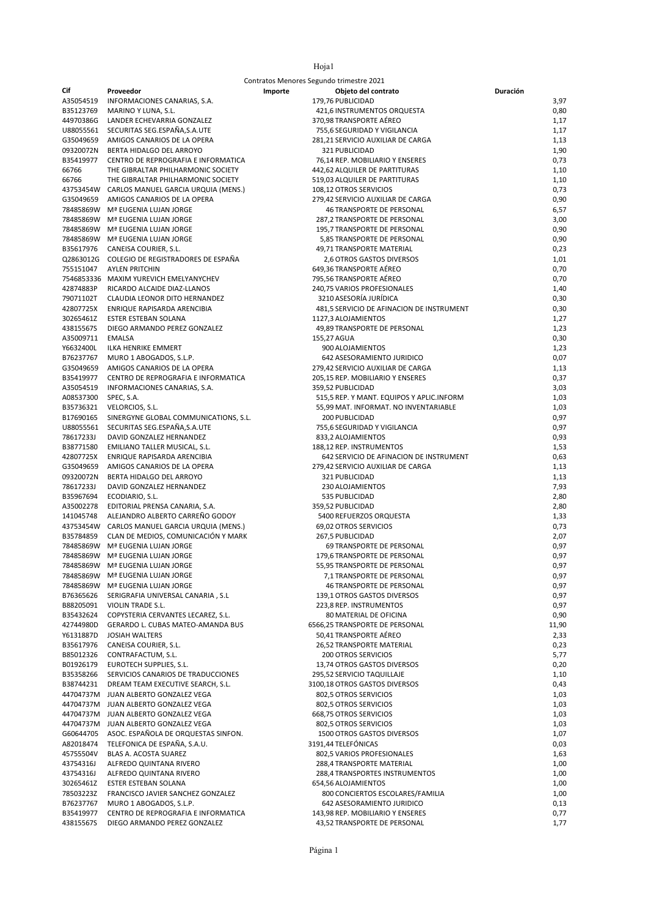| ۰. |  |
|----|--|
|    |  |

|           |                                                                          | Contratos Menores Segundo trimestre 2021             |              |
|-----------|--------------------------------------------------------------------------|------------------------------------------------------|--------------|
| Cif       | Proveedor                                                                | Objeto del contrato<br>Importe                       | Duración     |
| A35054519 | INFORMACIONES CANARIAS, S.A.                                             | 179,76 PUBLICIDAD                                    | 3,97         |
| B35123769 | MARINO Y LUNA, S.L.                                                      | 421,6 INSTRUMENTOS ORQUESTA                          | 0,80         |
| 44970386G | LANDER ECHEVARRIA GONZALEZ                                               | 370,98 TRANSPORTE AÉREO                              | 1,17         |
| U88055561 | SECURITAS SEG.ESPAÑA,S.A.UTE                                             | 755,6 SEGURIDAD Y VIGILANCIA                         | 1,17         |
| G35049659 | AMIGOS CANARIOS DE LA OPERA                                              | 281,21 SERVICIO AUXILIAR DE CARGA                    | 1,13         |
| 09320072N | BERTA HIDALGO DEL ARROYO                                                 | 321 PUBLICIDAD                                       | 1,90         |
| B35419977 | CENTRO DE REPROGRAFIA E INFORMATICA                                      | 76,14 REP. MOBILIARIO Y ENSERES                      | 0,73         |
| 66766     | THE GIBRALTAR PHILHARMONIC SOCIETY                                       | 442,62 ALQUILER DE PARTITURAS                        | 1,10         |
| 66766     | THE GIBRALTAR PHILHARMONIC SOCIETY                                       | 519,03 ALQUILER DE PARTITURAS                        | 1,10         |
|           | 43753454W CARLOS MANUEL GARCIA URQUIA (MENS.)                            | 108,12 OTROS SERVICIOS                               | 0,73         |
|           | G35049659 AMIGOS CANARIOS DE LA OPERA                                    | 279,42 SERVICIO AUXILIAR DE CARGA                    | 0,90         |
|           | 78485869W Mª EUGENIA LUJAN JORGE                                         | 46 TRANSPORTE DE PERSONAL                            | 6,57         |
|           | 78485869W Mª EUGENIA LUJAN JORGE                                         | 287,2 TRANSPORTE DE PERSONAL                         | 3,00         |
|           | 78485869W Mª EUGENIA LUJAN JORGE                                         | 195,7 TRANSPORTE DE PERSONAL                         | 0,90         |
|           | 78485869W Mª EUGENIA LUJAN JORGE                                         | 5,85 TRANSPORTE DE PERSONAL                          | 0,90         |
|           | B35617976 CANEISA COURIER, S.L.                                          | 49,71 TRANSPORTE MATERIAL                            | 0,23         |
|           | Q2863012G COLEGIO DE REGISTRADORES DE ESPAÑA<br>755151047 AYLEN PRITCHIN | 2,6 OTROS GASTOS DIVERSOS<br>649,36 TRANSPORTE AÉREO | 1,01<br>0,70 |
|           | 7546853336 MAXIM YUREVICH EMELYANYCHEV                                   | 795,56 TRANSPORTE AÉREO                              | 0,70         |
| 42874883P | RICARDO ALCAIDE DIAZ-LLANOS                                              | 240,75 VARIOS PROFESIONALES                          | 1,40         |
| 79071102T | CLAUDIA LEONOR DITO HERNANDEZ                                            | 3210 ASESORÍA JURÍDICA                               | 0,30         |
| 42807725X | ENRIQUE RAPISARDA ARENCIBIA                                              | 481,5 SERVICIO DE AFINACION DE INSTRUMENT            | 0,30         |
| 30265461Z | ESTER ESTEBAN SOLANA                                                     | 1127,3 ALOJAMIENTOS                                  | 1,27         |
| 43815567S | DIEGO ARMANDO PEREZ GONZALEZ                                             | 49,89 TRANSPORTE DE PERSONAL                         | 1,23         |
| A35009711 | EMALSA                                                                   | 155,27 AGUA                                          | 0,30         |
| Y6632400L | ILKA HENRIKE EMMERT                                                      | 900 ALOJAMIENTOS                                     | 1,23         |
| B76237767 | MURO 1 ABOGADOS, S.L.P.                                                  | 642 ASESORAMIENTO JURIDICO                           | 0,07         |
| G35049659 | AMIGOS CANARIOS DE LA OPERA                                              | 279,42 SERVICIO AUXILIAR DE CARGA                    | 1,13         |
| B35419977 | CENTRO DE REPROGRAFIA E INFORMATICA                                      | 205,15 REP. MOBILIARIO Y ENSERES                     | 0,37         |
| A35054519 | INFORMACIONES CANARIAS, S.A.                                             | 359,52 PUBLICIDAD                                    | 3,03         |
| A08537300 | SPEC, S.A.                                                               | 515,5 REP. Y MANT. EQUIPOS Y APLIC.INFORM            | 1,03         |
| B35736321 | VELORCIOS, S.L.                                                          | 55,99 MAT. INFORMAT. NO INVENTARIABLE                | 1,03         |
| B17690165 | SINERGYNE GLOBAL COMMUNICATIONS, S.L.                                    | 200 PUBLICIDAD                                       | 0,97         |
|           | U88055561 SECURITAS SEG.ESPAÑA, S.A. UTE                                 | 755,6 SEGURIDAD Y VIGILANCIA                         | 0,97         |
| 78617233J | DAVID GONZALEZ HERNANDEZ                                                 | 833,2 ALOJAMIENTOS                                   | 0,93         |
| B38771580 | EMILIANO TALLER MUSICAL, S.L.                                            | 188,12 REP. INSTRUMENTOS                             | 1,53         |
| 42807725X | ENRIQUE RAPISARDA ARENCIBIA                                              | 642 SERVICIO DE AFINACION DE INSTRUMENT              | 0,63         |
| G35049659 | AMIGOS CANARIOS DE LA OPERA                                              | 279,42 SERVICIO AUXILIAR DE CARGA                    | 1,13         |
| 09320072N | BERTA HIDALGO DEL ARROYO                                                 | 321 PUBLICIDAD                                       | 1,13         |
| 78617233J | DAVID GONZALEZ HERNANDEZ                                                 | 230 ALOJAMIENTOS                                     | 7,93         |
| B35967694 | ECODIARIO, S.L.                                                          | 535 PUBLICIDAD                                       | 2,80         |
|           | A35002278 EDITORIAL PRENSA CANARIA, S.A.                                 | 359,52 PUBLICIDAD                                    | 2,80         |
| 141045748 | ALEJANDRO ALBERTO CARREÑO GODOY                                          | 5400 REFUERZOS ORQUESTA                              | 1,33         |
|           | 43753454W CARLOS MANUEL GARCIA URQUIA (MENS.)                            | 69,02 OTROS SERVICIOS                                | 0,73         |
|           | B35784859 CLAN DE MEDIOS, COMUNICACIÓN Y MARK                            | 267,5 PUBLICIDAD                                     | 2,07         |
|           | 78485869W Mª EUGENIA LUJAN JORGE                                         | 69 TRANSPORTE DE PERSONAL                            | 0,97         |
|           | 78485869W Mª EUGENIA LUJAN JORGE                                         | 179,6 TRANSPORTE DE PERSONAL                         | 0,97         |
|           | 78485869W Mª EUGENIA LUJAN JORGE                                         | 55,95 TRANSPORTE DE PERSONAL                         | 0,97         |
|           | 78485869W Mª EUGENIA LUJAN JORGE                                         | 7,1 TRANSPORTE DE PERSONAL                           | 0,97         |
|           | 78485869W Mª EUGENIA LUJAN JORGE                                         | 46 TRANSPORTE DE PERSONAL                            | 0,97         |
|           | B76365626 SERIGRAFIA UNIVERSAL CANARIA, S.L                              | 139,1 OTROS GASTOS DIVERSOS                          | 0,97         |
| B88205091 | VIOLIN TRADE S.L.                                                        | 223,8 REP. INSTRUMENTOS                              | 0,97         |
| B35432624 | COPYSTERIA CERVANTES LECAREZ, S.L.                                       | 80 MATERIAL DE OFICINA                               | 0,90         |
| 42744980D | GERARDO L. CUBAS MATEO-AMANDA BUS                                        | 6566,25 TRANSPORTE DE PERSONAL                       | 11,90        |
| Y6131887D | JOSIAH WALTERS                                                           | 50,41 TRANSPORTE AÉREO                               | 2,33         |
| B35617976 | CANEISA COURIER, S.L.                                                    | 26,52 TRANSPORTE MATERIAL                            | 0,23         |
| B85012326 | CONTRAFACTUM, S.L.                                                       | <b>200 OTROS SERVICIOS</b>                           | 5,77         |
| B01926179 | EUROTECH SUPPLIES, S.L.                                                  | 13,74 OTROS GASTOS DIVERSOS                          | 0,20         |
| B35358266 | SERVICIOS CANARIOS DE TRADUCCIONES                                       | 295,52 SERVICIO TAQUILLAJE                           | 1,10         |
| B38744231 | DREAM TEAM EXECUTIVE SEARCH, S.L.                                        | 3100,18 OTROS GASTOS DIVERSOS                        | 0,43         |
|           | 44704737M JUAN ALBERTO GONZALEZ VEGA                                     | 802,5 OTROS SERVICIOS                                | 1,03         |
|           | 44704737M JUAN ALBERTO GONZALEZ VEGA                                     | 802,5 OTROS SERVICIOS                                | 1,03         |
|           | 44704737M JUAN ALBERTO GONZALEZ VEGA                                     | 668,75 OTROS SERVICIOS                               | 1,03         |
|           | 44704737M JUAN ALBERTO GONZALEZ VEGA                                     | 802,5 OTROS SERVICIOS                                | 1,03         |
| G60644705 | ASOC. ESPAÑOLA DE ORQUESTAS SINFON.                                      | 1500 OTROS GASTOS DIVERSOS                           | 1,07         |
| A82018474 | TELEFONICA DE ESPAÑA, S.A.U.                                             | 3191,44 TELEFÓNICAS                                  | 0,03         |
| 45755504V | BLAS A. ACOSTA SUAREZ                                                    | 802,5 VARIOS PROFESIONALES                           | 1,63         |
| 43754316J | ALFREDO QUINTANA RIVERO                                                  | 288,4 TRANSPORTE MATERIAL                            | 1,00         |
| 43754316J | ALFREDO QUINTANA RIVERO                                                  | 288,4 TRANSPORTES INSTRUMENTOS                       | 1,00         |
| 30265461Z | ESTER ESTEBAN SOLANA                                                     | 654,56 ALOJAMIENTOS                                  | 1,00         |
| 78503223Z | FRANCISCO JAVIER SANCHEZ GONZALEZ                                        | 800 CONCIERTOS ESCOLARES/FAMILIA                     | 1,00         |
| B76237767 | MURO 1 ABOGADOS, S.L.P.                                                  | 642 ASESORAMIENTO JURIDICO                           | 0,13         |
| B35419977 | CENTRO DE REPROGRAFIA E INFORMATICA                                      | 143,98 REP. MOBILIARIO Y ENSERES                     | 0,77         |
| 43815567S | DIEGO ARMANDO PEREZ GONZALEZ                                             | 43,52 TRANSPORTE DE PERSONAL                         | 1,77         |